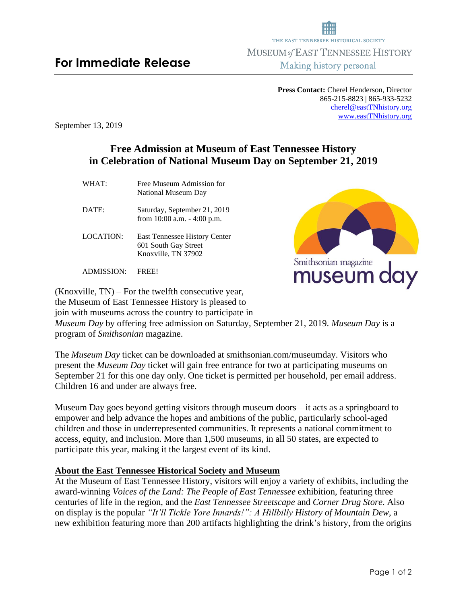# **For Immediate Release**

**Press Contact:** Cherel Henderson, Director 865-215-8823 | 865-933-5232 [cherel@eastTNhistory.org](mailto:cherel@eastTNhistory.org) [www.eastTNhistory.org](http://www.easttnhistory.org/)

THE EAST TENNESSEE HISTORICAL SOCIETY MUSEUM of EAST TENNESSEE HISTORY Making history personal

September 13, 2019

## **Free Admission at Museum of East Tennessee History in Celebration of National Museum Day on September 21, 2019**

WHAT: Free Museum Admission for National Museum Day

DATE: Saturday, September 21, 2019 from 10:00 a.m. - 4:00 p.m.

LOCATION: East Tennessee History Center 601 South Gay Street Knoxville, TN 37902

ADMISSION: FREE!

(Knoxville, TN) – For the twelfth consecutive year, the Museum of East Tennessee History is pleased to join with museums across the country to participate in *Museum Day* by offering free admission on Saturday, September 21, 2019. *Museum Day* is a program of *Smithsonian* magazine.

The *Museum Day* ticket can be downloaded at smithsonian.com/museumday. Visitors who present the *Museum Day* ticket will gain free entrance for two at participating museums on September 21 for this one day only. One ticket is permitted per household, per email address. Children 16 and under are always free.

Museum Day goes beyond getting visitors through museum doors—it acts as a springboard to empower and help advance the hopes and ambitions of the public, particularly school-aged children and those in underrepresented communities. It represents a national commitment to access, equity, and inclusion. More than 1,500 museums, in all 50 states, are expected to participate this year, making it the largest event of its kind.

#### **About the East Tennessee Historical Society and Museum**

At the Museum of East Tennessee History, visitors will enjoy a variety of exhibits, including the award-winning *Voices of the Land: The People of East Tennessee* exhibition, featuring three centuries of life in the region, and the *East Tennessee Streetscape* and *Corner Drug Store*. Also on display is the popular *"It'll Tickle Yore Innards!": A Hillbilly History of Mountain Dew*, a new exhibition featuring more than 200 artifacts highlighting the drink's history, from the origins